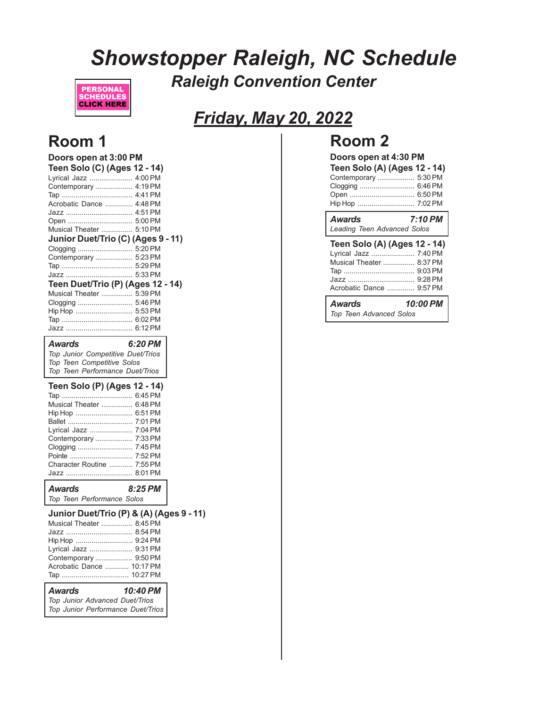# *Showstopper Raleigh, NC Schedule Raleigh Convention Center*



# *Friday, May 20, 2022*

# **Room 1**

| Doors open at 3:00 PM                                                                              |         |  |
|----------------------------------------------------------------------------------------------------|---------|--|
| Teen Solo (C) (Ages 12 - 14)                                                                       |         |  |
| Lyrical Jazz  4:00 PM                                                                              |         |  |
| Contemporary  4:19 PM                                                                              |         |  |
|                                                                                                    |         |  |
| Acrobatic Dance  4:48 PM                                                                           |         |  |
|                                                                                                    |         |  |
|                                                                                                    |         |  |
| Musical Theater  5:10 PM                                                                           |         |  |
| Junior Duet/Trio (C) (Ages 9 - 11)                                                                 |         |  |
| Clogging  5:20 PM                                                                                  |         |  |
| Contemporary  5:23 PM                                                                              |         |  |
|                                                                                                    |         |  |
|                                                                                                    |         |  |
| Teen Duet/Trio (P) (Ages 12 - 14)                                                                  |         |  |
| Musical Theater  5:39 PM                                                                           |         |  |
|                                                                                                    |         |  |
| Hip Hop  5:53 PM                                                                                   |         |  |
|                                                                                                    |         |  |
|                                                                                                    |         |  |
| Awards                                                                                             | 6:20 PM |  |
| Top Junior Competitive Duet/Trios<br>Top Teen Competitive Solos<br>Top Teen Performance Duet/Trios |         |  |
|                                                                                                    |         |  |
| Teen Solo (P) (Ages 12 - 14)                                                                       |         |  |
|                                                                                                    |         |  |
| Musical Theater  6:48 PM                                                                           |         |  |
| Hip Hop  6:51 PM                                                                                   |         |  |
|                                                                                                    |         |  |
| Lyrical Jazz  7:04 PM                                                                              |         |  |
| Contemporary  7:33 PM                                                                              |         |  |
|                                                                                                    |         |  |
| Character Routine  7:55 PM                                                                         |         |  |
|                                                                                                    |         |  |
|                                                                                                    |         |  |
| Awards                                                                                             | 8:25 PM |  |
| Top Teen Performance Solos                                                                         |         |  |
|                                                                                                    |         |  |
| Junior Duet/Trio (P) & (A) (Ages 9 - 11)<br>Musical Theater  8:45 PM                               |         |  |
|                                                                                                    |         |  |
| Hip Hop  9:24 PM                                                                                   |         |  |

| Top Junior Performance Duet/Trios |          |
|-----------------------------------|----------|
| Top Junior Advanced Duet/Trios    |          |
| <b>Awards</b>                     | 10:40 PM |
|                                   |          |
| Acrobatic Dance  10:17 PM         |          |
| Contemporary  9:50 PM             |          |
| Lyrical Jazz  9:31 PM             |          |
| Hip Hop  9:24 PM                  |          |
|                                   |          |

**Room 2**

| IWUIII Z                                                                                                                                        |         |
|-------------------------------------------------------------------------------------------------------------------------------------------------|---------|
| Doors open at 4:30 PM<br><b>Teen Solo (A) (Ages 12 - 14)</b><br>Contemporary  5:30 PM<br>Clogging  6:46 PM<br>Open  6:50 PM<br>Hip Hop  7:02 PM |         |
| <b>Awards</b><br><b>Leading Teen Advanced Solos</b>                                                                                             | 7:10 PM |
| Teen Solo (A) (Ages 12 - 14)<br>Lyrical Jazz  7:40 PM<br>Musical Theater  8:37 PM<br>Acrobatic Dance  9:57 PM                                   |         |

| Awards                  | 10:00 PM |
|-------------------------|----------|
| Top Teen Advanced Solos |          |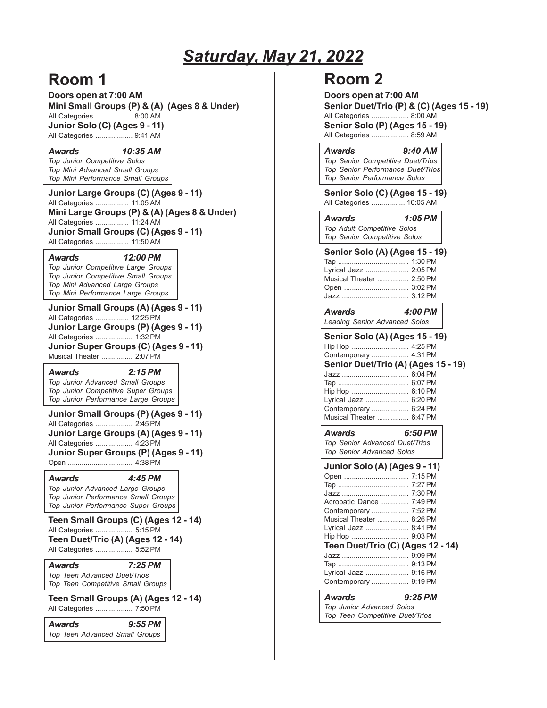# *Saturday, May 21, 2022*

## **Room 1**

**Doors open at 7:00 AM Mini Small Groups (P) & (A) (Ages 8 & Under)** All Categories ................... 8:00 AM **Junior Solo (C) (Ages 9 - 11)** All Categories ................... 9:41 AM

*Awards 10:35 AM Top Junior Competitive Solos Top Mini Advanced Small Groups Top Mini Performance Small Groups*

**Junior Large Groups (C) (Ages 9 - 11)** All Categories ................. 11:05 AM **Mini Large Groups (P) & (A) (Ages 8 & Under)** All Categories ................. 11:24 AM **Junior Small Groups (C) (Ages 9 - 11)** All Categories ................. 11:50 AM

#### *Awards 12:00 PM*

*Top Junior Competitive Large Groups Top Junior Competitive Small Groups Top Mini Advanced Large Groups Top Mini Performance Large Groups*

**Junior Small Groups (A) (Ages 9 - 11)** All Categories ................. 12:25 PM **Junior Large Groups (P) (Ages 9 - 11)** All Categories ................... 1:32 PM **Junior Super Groups (C) (Ages 9 - 11)** Musical Theater ................ 2:07 PM

#### *Awards 2:15 PM*

*Top Junior Advanced Small Groups Top Junior Competitive Super Groups Top Junior Performance Large Groups*

**Junior Small Groups (P) (Ages 9 - 11)** All Categories ................... 2:45 PM **Junior Large Groups (A) (Ages 9 - 11)** All Categories ................... 4:23 PM **Junior Super Groups (P) (Ages 9 - 11)** Open ................................. 4:38 PM

### *Awards 4:45 PM*

*Top Junior Advanced Large Groups Top Junior Performance Small Groups Top Junior Performance Super Groups*

**Teen Small Groups (C) (Ages 12 - 14)** All Categories ................... 5:15 PM **Teen Duet/Trio (A) (Ages 12 - 14)** All Categories ................... 5:52 PM

*Awards 7:25 PM Top Teen Advanced Duet/Trios Top Teen Competitive Small Groups*

**Teen Small Groups (A) (Ages 12 - 14)** All Categories ................... 7:50 PM

| Awards                         | $9:55$ PM |  |
|--------------------------------|-----------|--|
| Top Teen Advanced Small Groups |           |  |

## **Room 2**

| Doors open at 7:00 AM<br>Senior Duet/Trio (P) & (C) (Ages 15 - 19)<br>All Categories  8:00 AM<br><b>Senior Solo (P) (Ages 15 - 19)</b><br>All Categories  8:59 AM                                                                                      |         |  |
|--------------------------------------------------------------------------------------------------------------------------------------------------------------------------------------------------------------------------------------------------------|---------|--|
| <b>Awards</b><br>Top Senior Competitive Duet/Trios<br>Top Senior Performance Duet/Trios<br>Top Senior Performance Solos                                                                                                                                | 9:40 AM |  |
| Senior Solo (C) (Ages 15 - 19)<br>All Categories  10:05 AM                                                                                                                                                                                             |         |  |
| Awards<br>Top Adult Competitive Solos<br>Top Senior Competitive Solos                                                                                                                                                                                  | 1:05 PM |  |
| <b>Senior Solo (A) (Ages 15 - 19)</b><br>Lyrical Jazz  2:05 PM<br>Musical Theater  2:50 PM<br>Open  3:02 PM                                                                                                                                            |         |  |
| <b>Awards</b><br><b>Leading Senior Advanced Solos</b>                                                                                                                                                                                                  | 4:00 PM |  |
| <b>Senior Solo (A) (Ages 15 - 19)</b><br>Hip Hop  4:25 PM<br>Contemporary  4:31 PM<br>Senior Duet/Trio (A) (Ages 15 - 19)<br>Jazz  6:04 PM<br>Lyrical Jazz  6:20 PM<br>Contemporary  6:24 PM<br>Musical Theater  6:47 PM                               |         |  |
| Awards<br>Top Senior Advanced Duet/Trios<br>Top Senior Advanced Solos                                                                                                                                                                                  | 6:50 PM |  |
| Junior Solo (A) (Ages 9 - 11)<br>Open  7:15 PM<br>Tap<br>Acrobatic Dance  7:49 PM<br>Contemporary  7:52 PM<br>Musical Theater  8:26 PM<br>Lyrical Jazz  8:41 PM<br>Teen Duet/Trio (C) (Ages 12 - 14)<br>Lyrical Jazz  9:16 PM<br>Contemporary  9:19 PM |         |  |
| <b>Awards</b><br><b>Top Junior Advanced Solos</b>                                                                                                                                                                                                      | 9:25 PM |  |

*Top Teen Competitive Duet/Trios*